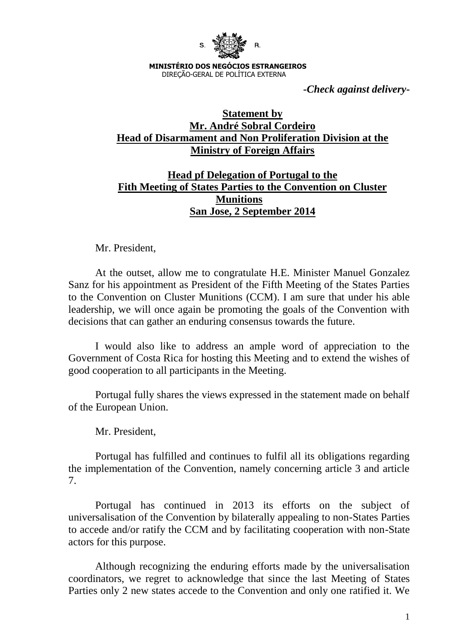

**MINISTÉRIO DOS NEGÓCIOS ESTRANGEIROS** DIREÇÃO-GERAL DE POLÍTICA EXTERNA

*-Check against delivery-*

## **Statement by Mr. André Sobral Cordeiro Head of Disarmament and Non Proliferation Division at the Ministry of Foreign Affairs**

## **Head pf Delegation of Portugal to the Fith Meeting of States Parties to the Convention on Cluster Munitions San Jose, 2 September 2014**

Mr. President,

At the outset, allow me to congratulate H.E. Minister Manuel Gonzalez Sanz for his appointment as President of the Fifth Meeting of the States Parties to the Convention on Cluster Munitions (CCM). I am sure that under his able leadership, we will once again be promoting the goals of the Convention with decisions that can gather an enduring consensus towards the future.

I would also like to address an ample word of appreciation to the Government of Costa Rica for hosting this Meeting and to extend the wishes of good cooperation to all participants in the Meeting.

Portugal fully shares the views expressed in the statement made on behalf of the European Union.

Mr. President,

Portugal has fulfilled and continues to fulfil all its obligations regarding the implementation of the Convention, namely concerning article 3 and article 7.

Portugal has continued in 2013 its efforts on the subject of universalisation of the Convention by bilaterally appealing to non-States Parties to accede and/or ratify the CCM and by facilitating cooperation with non-State actors for this purpose.

Although recognizing the enduring efforts made by the universalisation coordinators, we regret to acknowledge that since the last Meeting of States Parties only 2 new states accede to the Convention and only one ratified it. We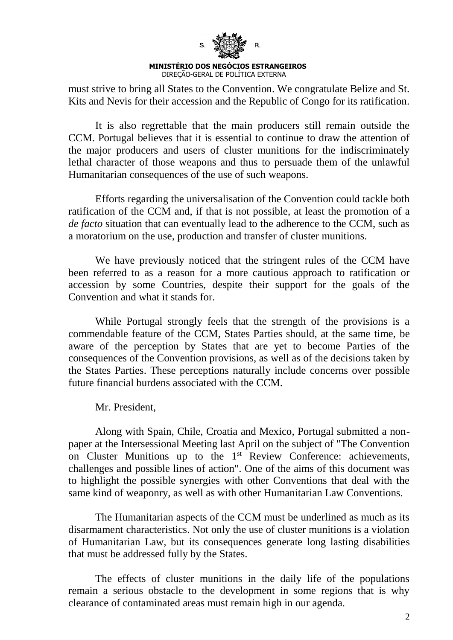

must strive to bring all States to the Convention. We congratulate Belize and St. Kits and Nevis for their accession and the Republic of Congo for its ratification.

It is also regrettable that the main producers still remain outside the CCM. Portugal believes that it is essential to continue to draw the attention of the major producers and users of cluster munitions for the indiscriminately lethal character of those weapons and thus to persuade them of the unlawful Humanitarian consequences of the use of such weapons.

Efforts regarding the universalisation of the Convention could tackle both ratification of the CCM and, if that is not possible, at least the promotion of a *de facto* situation that can eventually lead to the adherence to the CCM, such as a moratorium on the use, production and transfer of cluster munitions.

We have previously noticed that the stringent rules of the CCM have been referred to as a reason for a more cautious approach to ratification or accession by some Countries, despite their support for the goals of the Convention and what it stands for.

While Portugal strongly feels that the strength of the provisions is a commendable feature of the CCM, States Parties should, at the same time, be aware of the perception by States that are yet to become Parties of the consequences of the Convention provisions, as well as of the decisions taken by the States Parties. These perceptions naturally include concerns over possible future financial burdens associated with the CCM.

Mr. President,

Along with Spain, Chile, Croatia and Mexico, Portugal submitted a nonpaper at the Intersessional Meeting last April on the subject of "The Convention on Cluster Munitions up to the 1<sup>st</sup> Review Conference: achievements, challenges and possible lines of action". One of the aims of this document was to highlight the possible synergies with other Conventions that deal with the same kind of weaponry, as well as with other Humanitarian Law Conventions.

The Humanitarian aspects of the CCM must be underlined as much as its disarmament characteristics. Not only the use of cluster munitions is a violation of Humanitarian Law, but its consequences generate long lasting disabilities that must be addressed fully by the States.

The effects of cluster munitions in the daily life of the populations remain a serious obstacle to the development in some regions that is why clearance of contaminated areas must remain high in our agenda.